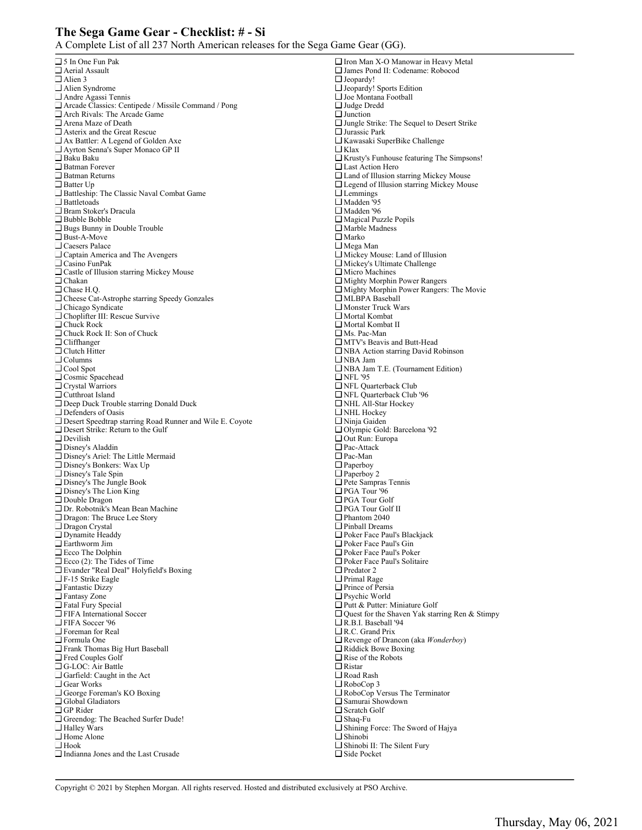## **The Sega Game Gear - Checklist: # - Si**

A Complete List of all 237 North American releases for the Sega Game Gear (GG).

| □ 5 In One Fun Pak                                              | $\Box$ Iron Man X-O Manowar in Heavy Metal               |
|-----------------------------------------------------------------|----------------------------------------------------------|
| $\Box$ Aerial Assault                                           | □ James Pond II: Codename: Robocod                       |
| $\Box$ Alien 3                                                  | $\Box$ Jeopardy!                                         |
| $\Box$ Alien Syndrome                                           | $\Box$ Jeopardy! Sports Edition                          |
| $\Box$ Andre Agassi Tennis                                      | $\Box$ Joe Montana Football                              |
| □ Arcade Classics: Centipede / Missile Command / Pong           | $\Box$ Judge Dredd                                       |
| □ Arch Rivals: The Arcade Game                                  | $\Box$ Junction                                          |
| $\Box$ Arena Maze of Death                                      | $\Box$ Jungle Strike: The Sequel to Desert Strike        |
| □ Asterix and the Great Rescue                                  | $\Box$ Jurassic Park                                     |
| □ Ax Battler: A Legend of Golden Axe                            | □ Kawasaki SuperBike Challenge                           |
| □ Ayrton Senna's Super Monaco GP II                             | $\Box$ Klax                                              |
| $\square$ Baku Baku                                             | $\Box$ Krusty's Funhouse featuring The Simpsons!         |
| $\Box$ Batman Forever                                           | $\Box$ Last Action Hero                                  |
| $\Box$ Batman Returns                                           | $\Box$ Land of Illusion starring Mickey Mouse            |
| $\square$ Batter Up                                             | □ Legend of Illusion starring Mickey Mouse               |
| Battleship: The Classic Naval Combat Game                       | $\Box$ Lemmings                                          |
| $\Box$ Battletoads                                              | $\Box$ Madden '95                                        |
| □ Bram Stoker's Dracula                                         | $\Box$ Madden '96                                        |
| $\square$ Bubble Bobble                                         | $\Box$ Magical Puzzle Popils                             |
| $\Box$ Bugs Bunny in Double Trouble                             | $\Box$ Marble Madness                                    |
| $\square$ Bust-A-Move                                           | $\Box$ Marko                                             |
| $\Box$ Caesers Palace                                           | $\Box$ Mega Man                                          |
| $\Box$ Captain America and The Avengers                         | $\Box$ Mickey Mouse: Land of Illusion                    |
| $\Box$ Casino FunPak                                            | $\Box$ Mickey's Ultimate Challenge                       |
| $\Box$ Castle of Illusion starring Mickey Mouse                 | $\Box$ Micro Machines                                    |
| $\Box$ Chakan                                                   | $\Box$ Mighty Morphin Power Rangers                      |
| $\Box$ Chase H.Q.                                               | $\Box$ Mighty Morphin Power Rangers: The Movie           |
| □ Cheese Cat-Astrophe starring Speedy Gonzales                  | □ MLBPA Baseball                                         |
| $\Box$ Chicago Syndicate                                        | $\Box$ Monster Truck Wars                                |
| □ Choplifter III: Rescue Survive                                | $\Box$ Mortal Kombat                                     |
| $\Box$ Chuck Rock<br>□ Chuck Rock II: Son of Chuck              | $\Box$ Mortal Kombat II<br>$\Box$ Ms. Pac-Man            |
| $\Box$ Cliffhanger                                              | $\Box$ MTV's Beavis and Butt-Head                        |
| $\Box$ Clutch Hitter                                            | $\Box$ NBA Action starring David Robinson                |
| $\Box$ Columns                                                  | $\Box$ NBA Jam                                           |
| $\Box$ Cool Spot                                                | □ NBA Jam T.E. (Tournament Edition)                      |
| □ Cosmic Spacehead                                              | $\Box$ NFL '95                                           |
| $\Box$ Crystal Warriors                                         | $\Box$ NFL Quarterback Club                              |
| $\Box$ Cutthroat Island                                         | $\Box$ NFL Quarterback Club '96                          |
| □ Deep Duck Trouble starring Donald Duck                        | $\Box$ NHL All-Star Hockey                               |
| $\Box$ Defenders of Oasis                                       | $\Box$ NHL Hockey                                        |
| $\Box$ Desert Speedtrap starring Road Runner and Wile E. Coyote | $\Box$ Ninja Gaiden                                      |
| $\Box$ Desert Strike: Return to the Gulf                        | □ Olympic Gold: Barcelona '92                            |
| $\Box$ Devilish                                                 | $\Box$ Out Run: Europa                                   |
| $\Box$ Disney's Aladdin                                         | $\Box$ Pac-Attack                                        |
| □ Disney's Ariel: The Little Mermaid                            | $\Box$ Pac-Man                                           |
| Disney's Bonkers: Wax Up                                        | $\Box$ Paperboy                                          |
| $\Box$ Disney's Tale Spin                                       | $\Box$ Paperboy 2                                        |
| $\Box$ Disney's The Jungle Book                                 | $\Box$ Pete Sampras Tennis                               |
| $\Box$ Disney's The Lion King                                   | $\Box$ PGA Tour '96                                      |
| $\Box$ Double Dragon                                            | $\Box$ PGA Tour Golf                                     |
| □ Dr. Robotnik's Mean Bean Machine                              | $\Box$ PGA Tour Golf II                                  |
| □ Dragon: The Bruce Lee Story<br>$\Box$ Dragon Crystal          | $\Box$ Phantom 2040<br>$\Box$ Pinball Dreams             |
| □ Dynamite Headdy                                               | □ Poker Face Paul's Blackjack                            |
| $\square$ Earthworm Jim                                         | $\Box$ Poker Face Paul's Gin                             |
| Ecco The Dolphin                                                | $\Box$ Poker Face Paul's Poker                           |
| $\Box$ Ecco (2): The Tides of Time                              | $\Box$ Poker Face Paul's Solitaire                       |
| Evander "Real Deal" Holyfield's Boxing                          | $\Box$ Predator 2                                        |
| $\square$ F-15 Strike Eagle                                     | $\Box$ Primal Rage                                       |
| Fantastic Dizzy                                                 | $\Box$ Prince of Persia                                  |
| $\Box$ Fantasy Zone                                             | $\Box$ Psychic World                                     |
| Fatal Fury Special                                              | □ Putt & Putter: Miniature Golf                          |
| □ FIFA International Soccer                                     | $\Box$ Quest for the Shaven Yak starring Ren & Stimpy    |
| $\Box$ FIFA Soccer '96                                          | $\Box$ R.B.I. Baseball '94                               |
| $\Box$ Foreman for Real                                         | $\Box$ R.C. Grand Prix                                   |
| $\square$ Formula One                                           | $\Box$ Revenge of Drancon (aka Wonderboy)                |
| Frank Thomas Big Hurt Baseball                                  | $\Box$ Riddick Bowe Boxing                               |
| $\Box$ Fred Couples Golf                                        | $\Box$ Rise of the Robots                                |
| □ G-LOC: Air Battle                                             | $\Box$ Ristar                                            |
| □ Garfield: Caught in the Act                                   | $\Box$ Road Rash                                         |
| $\Box$ Gear Works                                               | $\Box$ RoboCop 3                                         |
| □ George Foreman's KO Boxing                                    | $\Box$ RoboCop Versus The Terminator                     |
| $\Box$ Global Gladiators                                        | $\Box$ Samurai Showdown                                  |
| $\Box$ GP Rider                                                 | $\Box$ Scratch Golf                                      |
| Greendog: The Beached Surfer Dude!                              | $\Box$ Shaq-Fu                                           |
| $\Box$ Halley Wars                                              | $\Box$ Shining Force: The Sword of Hajya                 |
| □ Home Alone<br>$\square$ Hook                                  | $\Box$ Shinobi                                           |
| $\Box$ Indianna Jones and the Last Crusade                      | $\Box$ Shinobi II: The Silent Fury<br>$\Box$ Side Pocket |
|                                                                 |                                                          |
|                                                                 |                                                          |

Copyright © 2021 by Stephen Morgan. All rights reserved. Hosted and distributed exclusively at PSO Archive.